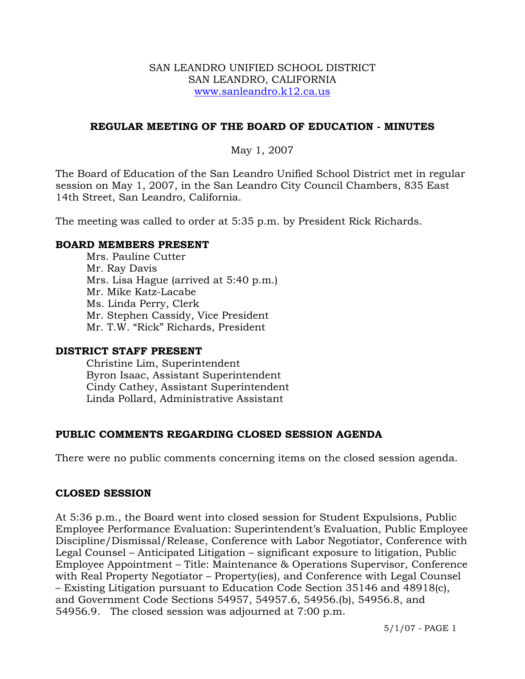#### SAN LEANDRO UNIFIED SCHOOL DISTRICT SAN LEANDRO, CALIFORNIA www.sanleandro.k12.ca.us

#### **REGULAR MEETING OF THE BOARD OF EDUCATION - MINUTES**

#### May 1, 2007

The Board of Education of the San Leandro Unified School District met in regular session on May 1, 2007, in the San Leandro City Council Chambers, 835 East 14th Street, San Leandro, California.

The meeting was called to order at 5:35 p.m. by President Rick Richards.

#### **BOARD MEMBERS PRESENT**

Mrs. Pauline Cutter Mr. Ray Davis Mrs. Lisa Hague (arrived at 5:40 p.m.) Mr. Mike Katz-Lacabe Ms. Linda Perry, Clerk Mr. Stephen Cassidy, Vice President Mr. T.W. "Rick" Richards, President

#### **DISTRICT STAFF PRESENT**

Christine Lim, Superintendent Byron Isaac, Assistant Superintendent Cindy Cathey, Assistant Superintendent Linda Pollard, Administrative Assistant

### **PUBLIC COMMENTS REGARDING CLOSED SESSION AGENDA**

There were no public comments concerning items on the closed session agenda.

### **CLOSED SESSION**

At 5:36 p.m., the Board went into closed session for Student Expulsions, Public Employee Performance Evaluation: Superintendent's Evaluation, Public Employee Discipline/Dismissal/Release, Conference with Labor Negotiator, Conference with Legal Counsel – Anticipated Litigation – significant exposure to litigation, Public Employee Appointment – Title: Maintenance & Operations Supervisor, Conference with Real Property Negotiator – Property(ies), and Conference with Legal Counsel – Existing Litigation pursuant to Education Code Section 35146 and 48918(c), and Government Code Sections 54957, 54957.6, 54956.(b), 54956.8, and 54956.9. The closed session was adjourned at 7:00 p.m.

5/1/07 - PAGE 1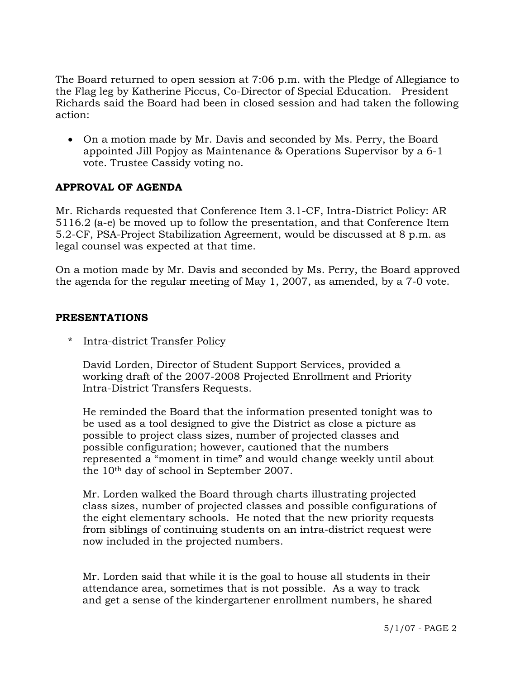The Board returned to open session at 7:06 p.m. with the Pledge of Allegiance to the Flag leg by Katherine Piccus, Co-Director of Special Education. President Richards said the Board had been in closed session and had taken the following action:

• On a motion made by Mr. Davis and seconded by Ms. Perry, the Board appointed Jill Popjoy as Maintenance & Operations Supervisor by a 6-1 vote. Trustee Cassidy voting no.

## **APPROVAL OF AGENDA**

Mr. Richards requested that Conference Item 3.1-CF, Intra-District Policy: AR 5116.2 (a-e) be moved up to follow the presentation, and that Conference Item 5.2-CF, PSA-Project Stabilization Agreement, would be discussed at 8 p.m. as legal counsel was expected at that time.

On a motion made by Mr. Davis and seconded by Ms. Perry, the Board approved the agenda for the regular meeting of May 1, 2007, as amended, by a 7-0 vote.

#### **PRESENTATIONS**

Intra-district Transfer Policy

 David Lorden, Director of Student Support Services, provided a working draft of the 2007-2008 Projected Enrollment and Priority Intra-District Transfers Requests.

 He reminded the Board that the information presented tonight was to be used as a tool designed to give the District as close a picture as possible to project class sizes, number of projected classes and possible configuration; however, cautioned that the numbers represented a "moment in time" and would change weekly until about the 10th day of school in September 2007.

 Mr. Lorden walked the Board through charts illustrating projected class sizes, number of projected classes and possible configurations of the eight elementary schools. He noted that the new priority requests from siblings of continuing students on an intra-district request were now included in the projected numbers.

 Mr. Lorden said that while it is the goal to house all students in their attendance area, sometimes that is not possible. As a way to track and get a sense of the kindergartener enrollment numbers, he shared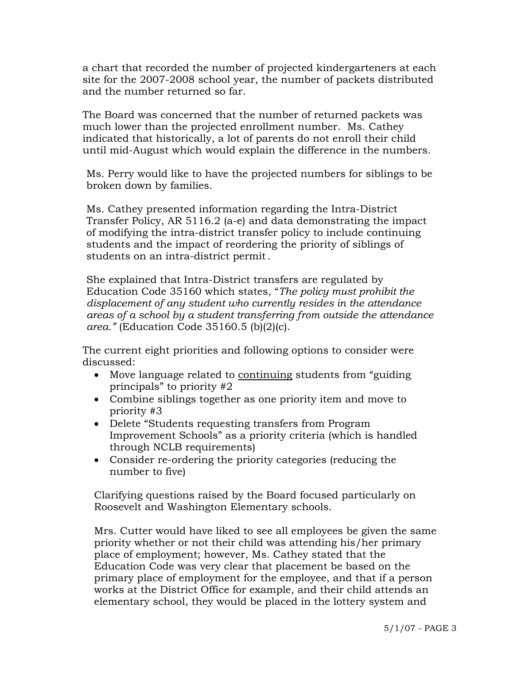a chart that recorded the number of projected kindergarteners at each site for the 2007-2008 school year, the number of packets distributed and the number returned so far.

 The Board was concerned that the number of returned packets was much lower than the projected enrollment number. Ms. Cathey indicated that historically, a lot of parents do not enroll their child until mid-August which would explain the difference in the numbers.

 Ms. Perry would like to have the projected numbers for siblings to be broken down by families.

 Ms. Cathey presented information regarding the Intra-District Transfer Policy, AR 5116.2 (a-e) and data demonstrating the impact of modifying the intra-district transfer policy to include continuing students and the impact of reordering the priority of siblings of students on an intra-district permit.

 She explained that Intra-District transfers are regulated by Education Code 35160 which states, "*The policy must prohibit the displacement of any student who currently resides in the attendance areas of a school by a student transferring from outside the attendance area."* (Education Code 35160.5 (b)(2)(c).

 The current eight priorities and following options to consider were discussed:

- Move language related to continuing students from "guiding principals" to priority #2
- Combine siblings together as one priority item and move to priority #3
- Delete "Students requesting transfers from Program Improvement Schools" as a priority criteria (which is handled through NCLB requirements)
- Consider re-ordering the priority categories (reducing the number to five)

Clarifying questions raised by the Board focused particularly on Roosevelt and Washington Elementary schools.

Mrs. Cutter would have liked to see all employees be given the same priority whether or not their child was attending his/her primary place of employment; however, Ms. Cathey stated that the Education Code was very clear that placement be based on the primary place of employment for the employee, and that if a person works at the District Office for example, and their child attends an elementary school, they would be placed in the lottery system and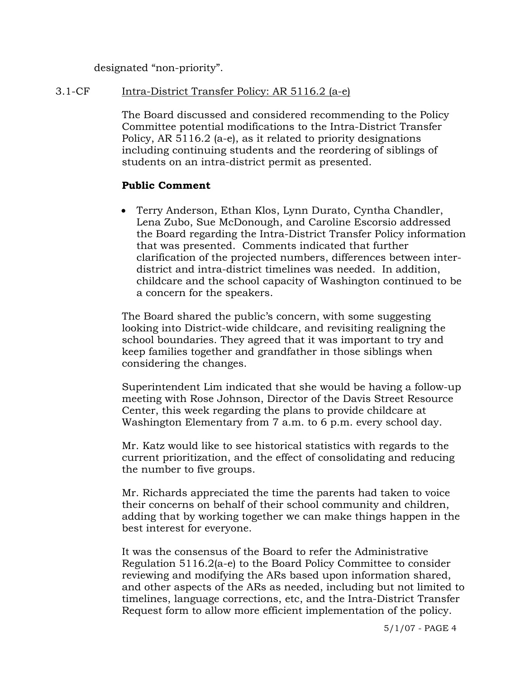designated "non-priority".

#### 3.1-CF Intra-District Transfer Policy: AR 5116.2 (a-e)

The Board discussed and considered recommending to the Policy Committee potential modifications to the Intra-District Transfer Policy, AR 5116.2 (a-e), as it related to priority designations including continuing students and the reordering of siblings of students on an intra-district permit as presented.

### **Public Comment**

• Terry Anderson, Ethan Klos, Lynn Durato, Cyntha Chandler, Lena Zubo, Sue McDonough, and Caroline Escorsio addressed the Board regarding the Intra-District Transfer Policy information that was presented. Comments indicated that further clarification of the projected numbers, differences between interdistrict and intra-district timelines was needed. In addition, childcare and the school capacity of Washington continued to be a concern for the speakers.

The Board shared the public's concern, with some suggesting looking into District-wide childcare, and revisiting realigning the school boundaries. They agreed that it was important to try and keep families together and grandfather in those siblings when considering the changes.

Superintendent Lim indicated that she would be having a follow-up meeting with Rose Johnson, Director of the Davis Street Resource Center, this week regarding the plans to provide childcare at Washington Elementary from 7 a.m. to 6 p.m. every school day.

Mr. Katz would like to see historical statistics with regards to the current prioritization, and the effect of consolidating and reducing the number to five groups.

Mr. Richards appreciated the time the parents had taken to voice their concerns on behalf of their school community and children, adding that by working together we can make things happen in the best interest for everyone.

It was the consensus of the Board to refer the Administrative Regulation 5116.2(a-e) to the Board Policy Committee to consider reviewing and modifying the ARs based upon information shared, and other aspects of the ARs as needed, including but not limited to timelines, language corrections, etc, and the Intra-District Transfer Request form to allow more efficient implementation of the policy.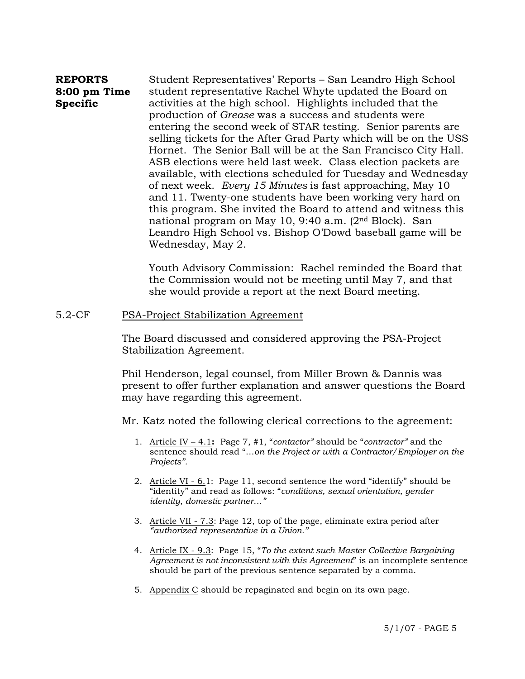#### **REPORTS 8:00 pm Time Specific**  Student Representatives' Reports – San Leandro High School student representative Rachel Whyte updated the Board on activities at the high school. Highlights included that the production of *Grease* was a success and students were entering the second week of STAR testing. Senior parents are selling tickets for the After Grad Party which will be on the USS Hornet. The Senior Ball will be at the San Francisco City Hall. ASB elections were held last week. Class election packets are available, with elections scheduled for Tuesday and Wednesday of next week. *Every 15 Minutes* is fast approaching, May 10 and 11. Twenty-one students have been working very hard on this program. She invited the Board to attend and witness this national program on May 10, 9:40 a.m. (2nd Block). San Leandro High School vs. Bishop O'Dowd baseball game will be Wednesday, May 2.

Youth Advisory Commission: Rachel reminded the Board that the Commission would not be meeting until May 7, and that she would provide a report at the next Board meeting.

#### 5.2-CF PSA-Project Stabilization Agreement

The Board discussed and considered approving the PSA-Project Stabilization Agreement.

Phil Henderson, legal counsel, from Miller Brown & Dannis was present to offer further explanation and answer questions the Board may have regarding this agreement.

Mr. Katz noted the following clerical corrections to the agreement:

- 1. Article IV 4.1**:** Page 7, #1, "*contactor"* should be "*contractor"* and the sentence should read "…*on the Project or with a Contractor/Employer on the Projects".*
- 2. Article VI 6.1: Page 11, second sentence the word "identify" should be "identity" and read as follows: "*conditions, sexual orientation, gender identity, domestic partner…"*
- 3. Article VII 7.3: Page 12, top of the page, eliminate extra period after *"authorized representative in a Union."*
- 4. Article IX 9.3: Page 15, "*To the extent such Master Collective Bargaining Agreement is not inconsistent with this Agreement*" is an incomplete sentence should be part of the previous sentence separated by a comma.
- 5. Appendix C should be repaginated and begin on its own page.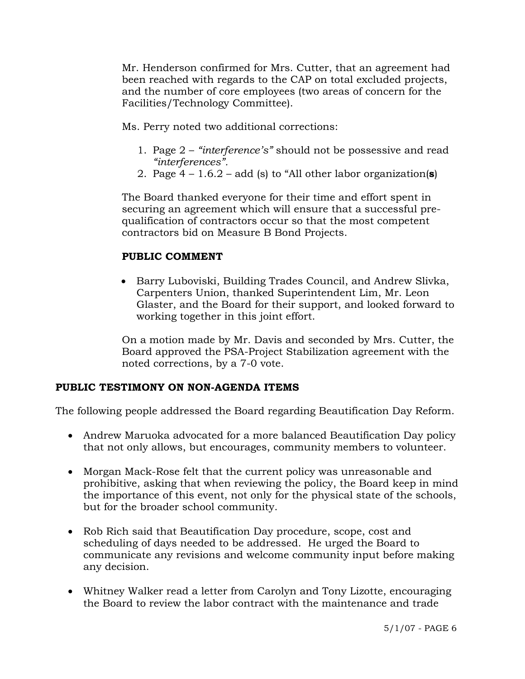Mr. Henderson confirmed for Mrs. Cutter, that an agreement had been reached with regards to the CAP on total excluded projects, and the number of core employees (two areas of concern for the Facilities/Technology Committee).

Ms. Perry noted two additional corrections:

- 1. Page 2 *"interference's"* should not be possessive and read *"interferences".*
- 2. Page 4 1.6.2 add (s) to "All other labor organization(**s**)

The Board thanked everyone for their time and effort spent in securing an agreement which will ensure that a successful prequalification of contractors occur so that the most competent contractors bid on Measure B Bond Projects.

### **PUBLIC COMMENT**

• Barry Luboviski, Building Trades Council, and Andrew Slivka, Carpenters Union, thanked Superintendent Lim, Mr. Leon Glaster, and the Board for their support, and looked forward to working together in this joint effort.

On a motion made by Mr. Davis and seconded by Mrs. Cutter, the Board approved the PSA-Project Stabilization agreement with the noted corrections, by a 7-0 vote.

### **PUBLIC TESTIMONY ON NON-AGENDA ITEMS**

The following people addressed the Board regarding Beautification Day Reform.

- Andrew Maruoka advocated for a more balanced Beautification Day policy that not only allows, but encourages, community members to volunteer.
- Morgan Mack-Rose felt that the current policy was unreasonable and prohibitive, asking that when reviewing the policy, the Board keep in mind the importance of this event, not only for the physical state of the schools, but for the broader school community.
- Rob Rich said that Beautification Day procedure, scope, cost and scheduling of days needed to be addressed. He urged the Board to communicate any revisions and welcome community input before making any decision.
- Whitney Walker read a letter from Carolyn and Tony Lizotte, encouraging the Board to review the labor contract with the maintenance and trade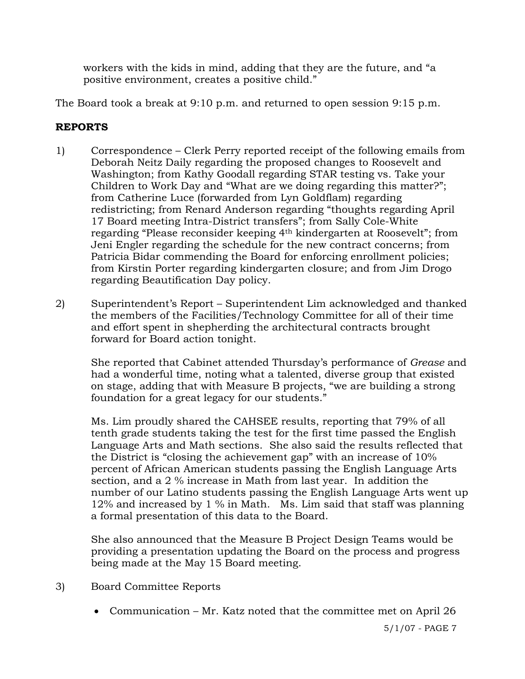workers with the kids in mind, adding that they are the future, and "a positive environment, creates a positive child."

The Board took a break at 9:10 p.m. and returned to open session 9:15 p.m.

# **REPORTS**

- 1) Correspondence Clerk Perry reported receipt of the following emails from Deborah Neitz Daily regarding the proposed changes to Roosevelt and Washington; from Kathy Goodall regarding STAR testing vs. Take your Children to Work Day and "What are we doing regarding this matter?"; from Catherine Luce (forwarded from Lyn Goldflam) regarding redistricting; from Renard Anderson regarding "thoughts regarding April 17 Board meeting Intra-District transfers"; from Sally Cole-White regarding "Please reconsider keeping 4th kindergarten at Roosevelt"; from Jeni Engler regarding the schedule for the new contract concerns; from Patricia Bidar commending the Board for enforcing enrollment policies; from Kirstin Porter regarding kindergarten closure; and from Jim Drogo regarding Beautification Day policy.
- 2) Superintendent's Report Superintendent Lim acknowledged and thanked the members of the Facilities/Technology Committee for all of their time and effort spent in shepherding the architectural contracts brought forward for Board action tonight.

She reported that Cabinet attended Thursday's performance of *Grease* and had a wonderful time, noting what a talented, diverse group that existed on stage, adding that with Measure B projects, "we are building a strong foundation for a great legacy for our students."

Ms. Lim proudly shared the CAHSEE results, reporting that 79% of all tenth grade students taking the test for the first time passed the English Language Arts and Math sections. She also said the results reflected that the District is "closing the achievement gap" with an increase of 10% percent of African American students passing the English Language Arts section, and a 2 % increase in Math from last year. In addition the number of our Latino students passing the English Language Arts went up 12% and increased by 1 % in Math. Ms. Lim said that staff was planning a formal presentation of this data to the Board.

She also announced that the Measure B Project Design Teams would be providing a presentation updating the Board on the process and progress being made at the May 15 Board meeting.

- 3) Board Committee Reports
	- Communication Mr. Katz noted that the committee met on April 26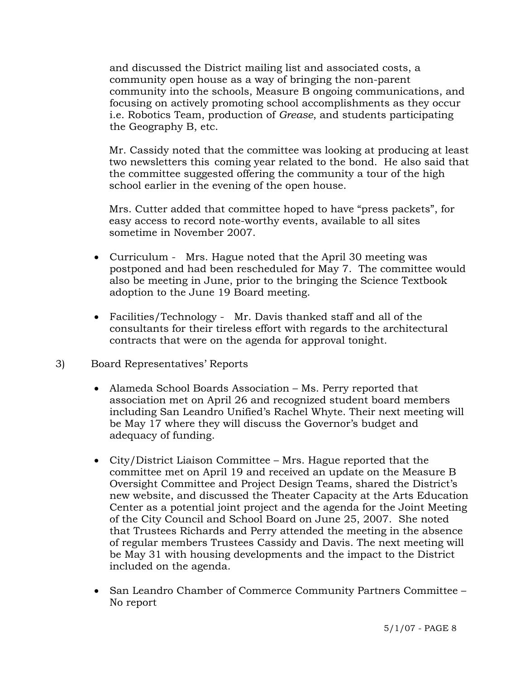and discussed the District mailing list and associated costs, a community open house as a way of bringing the non-parent community into the schools, Measure B ongoing communications, and focusing on actively promoting school accomplishments as they occur i.e. Robotics Team, production of *Grease*, and students participating the Geography B, etc.

 Mr. Cassidy noted that the committee was looking at producing at least two newsletters this coming year related to the bond. He also said that the committee suggested offering the community a tour of the high school earlier in the evening of the open house.

 Mrs. Cutter added that committee hoped to have "press packets", for easy access to record note-worthy events, available to all sites sometime in November 2007.

- Curriculum Mrs. Hague noted that the April 30 meeting was postponed and had been rescheduled for May 7. The committee would also be meeting in June, prior to the bringing the Science Textbook adoption to the June 19 Board meeting.
- Facilities/Technology Mr. Davis thanked staff and all of the consultants for their tireless effort with regards to the architectural contracts that were on the agenda for approval tonight.
- 3) Board Representatives' Reports
	- Alameda School Boards Association Ms. Perry reported that association met on April 26 and recognized student board members including San Leandro Unified's Rachel Whyte. Their next meeting will be May 17 where they will discuss the Governor's budget and adequacy of funding.
	- City/District Liaison Committee Mrs. Hague reported that the committee met on April 19 and received an update on the Measure B Oversight Committee and Project Design Teams, shared the District's new website, and discussed the Theater Capacity at the Arts Education Center as a potential joint project and the agenda for the Joint Meeting of the City Council and School Board on June 25, 2007. She noted that Trustees Richards and Perry attended the meeting in the absence of regular members Trustees Cassidy and Davis. The next meeting will be May 31 with housing developments and the impact to the District included on the agenda.
	- San Leandro Chamber of Commerce Community Partners Committee No report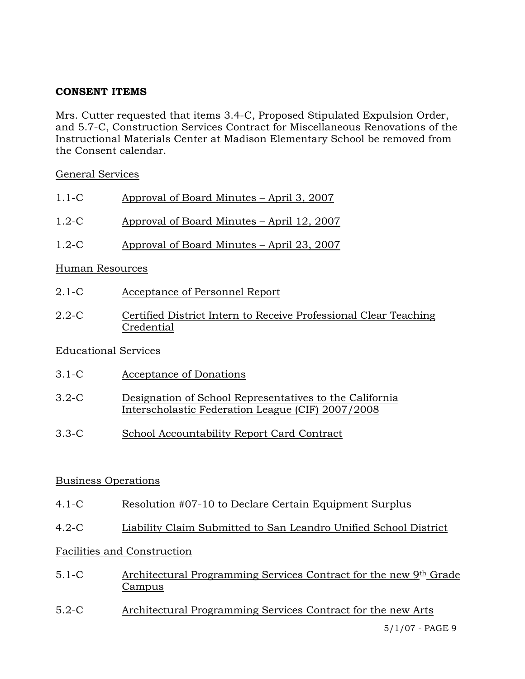## **CONSENT ITEMS**

Mrs. Cutter requested that items 3.4-C, Proposed Stipulated Expulsion Order, and 5.7-C, Construction Services Contract for Miscellaneous Renovations of the Instructional Materials Center at Madison Elementary School be removed from the Consent calendar.

### General Services

| $1.1-C$ | Approval of Board Minutes – April 3, 2007 |
|---------|-------------------------------------------|
|         |                                           |

- 1.2-C Approval of Board Minutes April 12, 2007
- 1.2-C Approval of Board Minutes April 23, 2007

## Human Resources

- 2.1-C Acceptance of Personnel Report
- 2.2-C Certified District Intern to Receive Professional Clear Teaching Credential

## Educational Services

- 3.1-C Acceptance of Donations
- 3.2-C Designation of School Representatives to the California Interscholastic Federation League (CIF) 2007/2008
- 3.3-C School Accountability Report Card Contract

## Business Operations

- 4.1-C Resolution #07-10 to Declare Certain Equipment Surplus
- 4.2-C Liability Claim Submitted to San Leandro Unified School District

# Facilities and Construction

- 5.1-C Architectural Programming Services Contract for the new 9th Grade Campus
- 5.2-C Architectural Programming Services Contract for the new Arts

5/1/07 - PAGE 9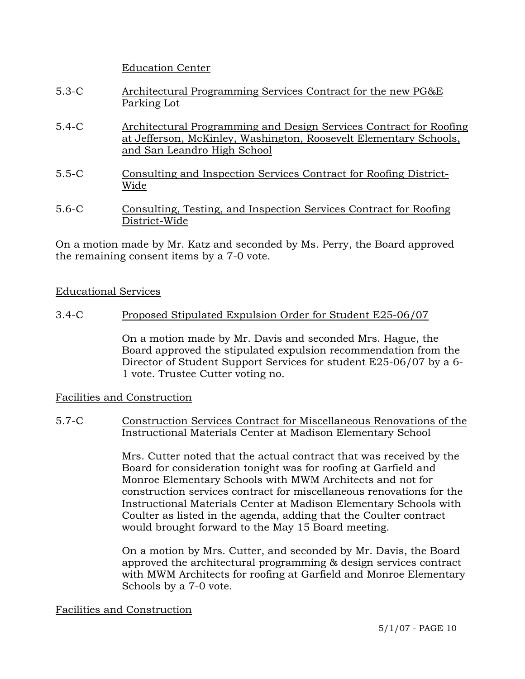Education Center

- 5.3-C Architectural Programming Services Contract for the new PG&E Parking Lot
- 5.4-C Architectural Programming and Design Services Contract for Roofing at Jefferson, McKinley, Washington, Roosevelt Elementary Schools, and San Leandro High School
- 5.5-C Consulting and Inspection Services Contract for Roofing District-Wide
- 5.6-C Consulting, Testing, and Inspection Services Contract for Roofing District-Wide

On a motion made by Mr. Katz and seconded by Ms. Perry, the Board approved the remaining consent items by a 7-0 vote.

#### Educational Services

3.4-C Proposed Stipulated Expulsion Order for Student E25-06/07

On a motion made by Mr. Davis and seconded Mrs. Hague, the Board approved the stipulated expulsion recommendation from the Director of Student Support Services for student E25-06/07 by a 6- 1 vote. Trustee Cutter voting no.

#### Facilities and Construction

### 5.7-C Construction Services Contract for Miscellaneous Renovations of the Instructional Materials Center at Madison Elementary School

Mrs. Cutter noted that the actual contract that was received by the Board for consideration tonight was for roofing at Garfield and Monroe Elementary Schools with MWM Architects and not for construction services contract for miscellaneous renovations for the Instructional Materials Center at Madison Elementary Schools with Coulter as listed in the agenda, adding that the Coulter contract would brought forward to the May 15 Board meeting.

On a motion by Mrs. Cutter, and seconded by Mr. Davis, the Board approved the architectural programming & design services contract with MWM Architects for roofing at Garfield and Monroe Elementary Schools by a 7-0 vote.

#### Facilities and Construction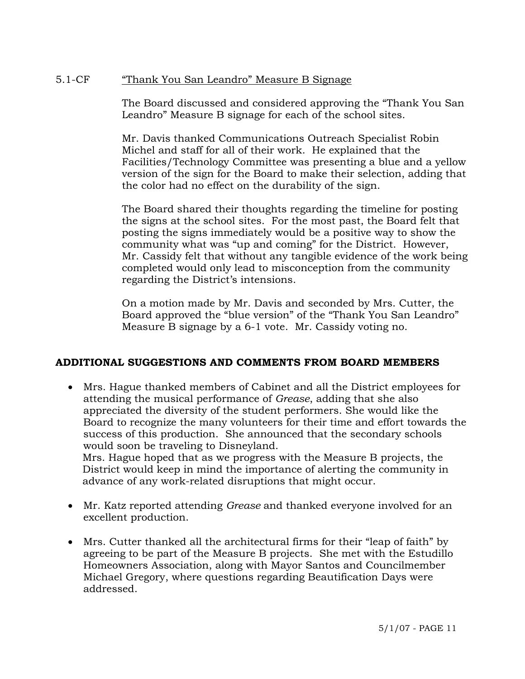### 5.1-CF "Thank You San Leandro" Measure B Signage

The Board discussed and considered approving the "Thank You San Leandro" Measure B signage for each of the school sites.

Mr. Davis thanked Communications Outreach Specialist Robin Michel and staff for all of their work. He explained that the Facilities/Technology Committee was presenting a blue and a yellow version of the sign for the Board to make their selection, adding that the color had no effect on the durability of the sign.

The Board shared their thoughts regarding the timeline for posting the signs at the school sites. For the most past, the Board felt that posting the signs immediately would be a positive way to show the community what was "up and coming" for the District. However, Mr. Cassidy felt that without any tangible evidence of the work being completed would only lead to misconception from the community regarding the District's intensions.

On a motion made by Mr. Davis and seconded by Mrs. Cutter, the Board approved the "blue version" of the "Thank You San Leandro" Measure B signage by a 6-1 vote. Mr. Cassidy voting no.

## **ADDITIONAL SUGGESTIONS AND COMMENTS FROM BOARD MEMBERS**

• Mrs. Hague thanked members of Cabinet and all the District employees for attending the musical performance of *Grease*, adding that she also appreciated the diversity of the student performers. She would like the Board to recognize the many volunteers for their time and effort towards the success of this production. She announced that the secondary schools would soon be traveling to Disneyland. Mrs. Hague hoped that as we progress with the Measure B projects, the

 District would keep in mind the importance of alerting the community in advance of any work-related disruptions that might occur.

- Mr. Katz reported attending *Grease* and thanked everyone involved for an excellent production.
- Mrs. Cutter thanked all the architectural firms for their "leap of faith" by agreeing to be part of the Measure B projects. She met with the Estudillo Homeowners Association, along with Mayor Santos and Councilmember Michael Gregory, where questions regarding Beautification Days were addressed.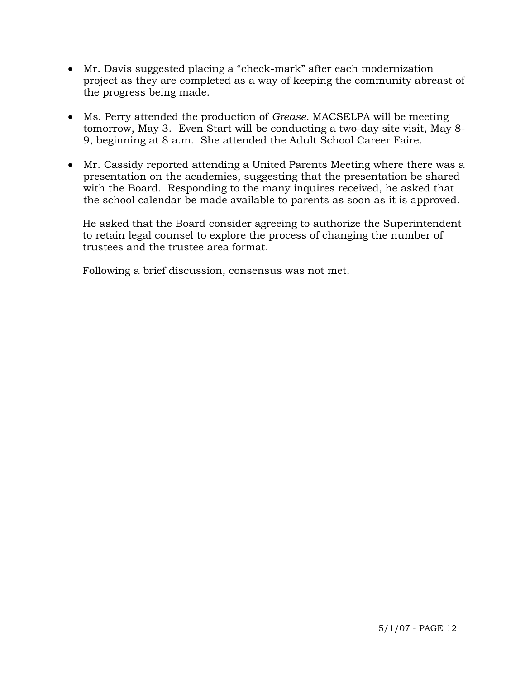- Mr. Davis suggested placing a "check-mark" after each modernization project as they are completed as a way of keeping the community abreast of the progress being made.
- Ms. Perry attended the production of *Grease.* MACSELPA will be meeting tomorrow, May 3. Even Start will be conducting a two-day site visit, May 8- 9, beginning at 8 a.m. She attended the Adult School Career Faire.
- Mr. Cassidy reported attending a United Parents Meeting where there was a presentation on the academies, suggesting that the presentation be shared with the Board. Responding to the many inquires received, he asked that the school calendar be made available to parents as soon as it is approved.

 He asked that the Board consider agreeing to authorize the Superintendent to retain legal counsel to explore the process of changing the number of trustees and the trustee area format.

Following a brief discussion, consensus was not met.